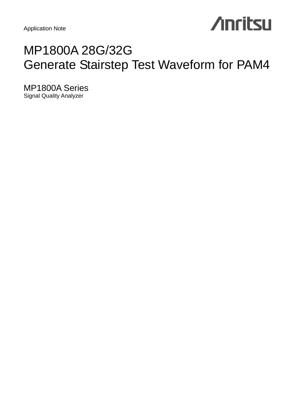Application Note

# **Anritsu**

# MP1800A 28G/32G Generate Stairstep Test Waveform for PAM4

MP1800A Series Signal Quality Analyzer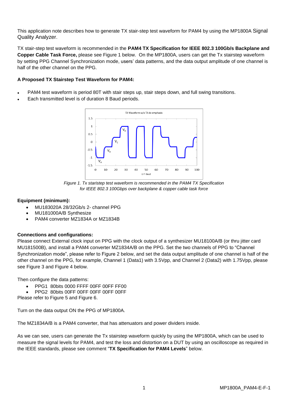This application note describes how to generate TX stair-step test waveform for PAM4 by using the MP1800A Signal Quality Analyzer.

TX stair-step test waveform is recommended in the **PAM4 TX Specification for IEEE 802.3 100Gb/s Backplane and Copper Cable Task Force,** please see Figure 1 below. On the MP1800A, users can get the Tx stairstep waveform by setting PPG Channel Synchronization mode, users' data patterns, and the data output amplitude of one channel is half of the other channel on the PPG.

## **A Proposed TX Stairstep Test Waveform for PAM4:**

- PAM4 test waveform is period 80T with stair steps up, stair steps down, and full swing transitions.
- Each transmitted level is of duration 8 Baud periods.



*Figure 1. Tx staristep test waveform is recommended in the PAM4 TX Specification for IEEE 802.3 100Gbps over backplane & copper cable task force*

# **Equipment (minimum):**

- MU183020A 28/32Gb/s 2- channel PPG
- MU181000A/B Synthesize
- PAM4 converter MZ1834A or MZ1834B

# **Connections and configurations:**

Please connect External clock input on PPG with the clock output of a synthesizer MU18100A/B (or thru jitter card MU181500B), and install a PAM4 converter MZ1834A/B on the PPG. Set the two channels of PPG to "Channel Synchronization mode", please refer to Figure 2 below, and set the data output amplitude of one channel is half of the other channel on the PPG, for example, Channel 1 (Data1) with 3.5Vpp, and Channel 2 (Data2) with 1.75Vpp, please see Figure 3 and Figure 4 below.

Then configure the data patterns:

- PPG1 80bits 0000 FFFF 00FF 00FF FF00
- PPG2 80bits 00FF 00FF 00FF 00FF 00FF

Please refer to Figure 5 and Figure 6.

Turn on the data output ON the PPG of MP1800A.

The MZ1834A/B is a PAM4 converter, that has attenuators and power dividers inside.

As we can see, users can generate the Tx stairstep waveform quickly by using the MP1800A, which can be used to measure the signal levels for PAM4, and test the loss and distortion on a DUT by using an oscilloscope as required in the IEEE standards, please see comment "**TX Specification for PAM4 Levels**" below.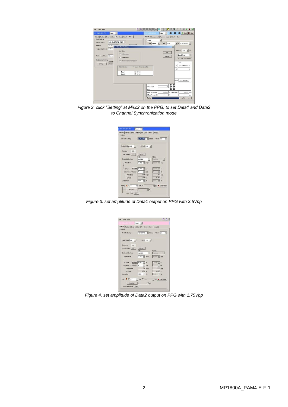| 1:3:1) 280/320 PPG<br>Data1                                                          | $\vert \cdot \vert$                                                                                                      |                         | 4:11250020 ED                                                                                                   | Detail<br>$\overline{\phantom{a}}$ | <b>O</b> P Start   Stop                                                                          |  |
|--------------------------------------------------------------------------------------|--------------------------------------------------------------------------------------------------------------------------|-------------------------|-----------------------------------------------------------------------------------------------------------------|------------------------------------|--------------------------------------------------------------------------------------------------|--|
| Output Pattern Error Addition Pre-Code Misc1 Misc2<br>-Clock Setting<br>Clock Source | Unit1:Slot6:MU181500B -                                                                                                  |                         | Result Measurement Pattern Input Misc1 Misc2<br>$-$ Geting<br>$= 000000001$<br>곡<br>Cycle Repeat -<br>Unit Time |                                    |                                                                                                  |  |
| <b>Bt Rate</b><br>Output Clock Rote Halfrate<br>Reference Clock<br>Internal          | $ \sqrt{2}$<br>32.100000 and annual<br>$-1$<br><b>Combination Setting</b><br>Operation<br>C Independent<br>C Combination |                         |                                                                                                                 | OK<br>Cancel                       | $\vert x \vert$<br>$-$ Interval $100$<br>×<br>ms<br><b>DateSTime</b><br>$\overline{\phantom{a}}$ |  |
| Combination Setting<br>Operati<br>Setting<br>Indepe                                  | <b>G</b> Channel Synchronization<br>Data Intertace                                                                       | Channel Synchronization |                                                                                                                 |                                    | 2012/08/23 01:45:32<br>OM<br>$0.0000E-10$<br>10                                                  |  |
|                                                                                      | Data 1                                                                                                                   | <b>E</b> SYNC           |                                                                                                                 |                                    | $^{\circ}$<br>O                                                                                  |  |
|                                                                                      | Data 2                                                                                                                   | <b>E</b> SYNC           |                                                                                                                 |                                    |                                                                                                  |  |
|                                                                                      |                                                                                                                          |                         | <b>The Second Second</b>                                                                                        |                                    | Court 3.2100E+10                                                                                 |  |
|                                                                                      |                                                                                                                          |                         | Sync Loss                                                                                                       | $\Omega$                           |                                                                                                  |  |
|                                                                                      |                                                                                                                          |                         | Error<br>Data Threshold                                                                                         | v.<br>-----                        | Data Delay                                                                                       |  |
|                                                                                      |                                                                                                                          |                         | <b>XData Threshold</b>                                                                                          | -----                              | $--- pos$                                                                                        |  |
|                                                                                      |                                                                                                                          |                         | Geting                                                                                                          |                                    | $(100\%)$ <<                                                                                     |  |

*Figure 2. click "Setting" at Misc2 on the PPG, to set Data1 and Data2 to Channel Synchronization mode*

| <b>Bit Rate Setting</b>                                                                                                                                                                                                                                                   | 02.100000 - Goth Clock ON -   |                |                   |  |
|---------------------------------------------------------------------------------------------------------------------------------------------------------------------------------------------------------------------------------------------------------------------------|-------------------------------|----------------|-------------------|--|
| Detail City of City of the City of the City                                                                                                                                                                                                                               |                               |                |                   |  |
| Tracking ON                                                                                                                                                                                                                                                               |                               |                |                   |  |
| Level Ouard OFF Selup                                                                                                                                                                                                                                                     |                               |                |                   |  |
| Defined Interface                                                                                                                                                                                                                                                         | Date<br>Variable > Variance > | XDoda:         |                   |  |
| Amplitude                                                                                                                                                                                                                                                                 | 3.500 - Vice 3.500 - Vice     |                |                   |  |
|                                                                                                                                                                                                                                                                           |                               |                |                   |  |
| -omset ACOFF 0.000 - V                                                                                                                                                                                                                                                    |                               | 0.000 Hz V     |                   |  |
| Edena ATT Factor 0 3 dB                                                                                                                                                                                                                                                   |                               |                | $0 \rightarrow a$ |  |
| - Amplitude                                                                                                                                                                                                                                                               | 3,500 Vpp                     |                | 3.500 Vgp         |  |
| L'Ottant                                                                                                                                                                                                                                                                  | 0.000 V                       |                | 0.000V            |  |
| Cross Point                                                                                                                                                                                                                                                               | 500 号%                        | <b>100 - %</b> |                   |  |
| Delay $\blacksquare$ $\lhd$ $\lhd$ $\lhd$ $\lhd$ $\lhd$ $\lhd$ $\lhd$ $\lhd$ $\lhd$ $\lhd$ $\lhd$ $\lhd$ $\lhd$ $\lhd$ $\lhd$ $\lhd$ $\lhd$ $\lhd$ $\lhd$ $\lhd$ $\lhd$ $\lhd$ $\lhd$ $\lhd$ $\lhd$ $\lhd$ $\lhd$ $\lhd$ $\lhd$ $\lhd$ $\lhd$ $\lhd$ $\lhd$ $\lhd$ $\lhd$ |                               |                |                   |  |

*Figure 3. set amplitude of Data1 output on PPG with 3.5Vpp*

墨亚国 Fle View Help e vew nep<br>│<br>Mpul │ Paltern │ Error Addition │ Pre-Code │ Misc1 │ Misc2 │ Dutput<br>Bit Rate Setting  $\sqrt{\frac{32,100000-\frac{1}{\sqrt{36}}}{\frac{1}{\sqrt{36}}}}$  Obal/s Clock  $\sqrt{\text{CN} - \frac{1}{\sqrt{3}}}$  $\text{DataMOats} \boxed{\text{ON} = \boxed{\text{w}}} \qquad \text{Ortset} \boxed{\text{Voh} \boxed{\text{w}}}$ Catabook of  $\overline{|\mathbf{X}|}$  and  $\overline{|\mathbf{X}|}$ <br>
Theology  $\overline{|\mathbf{X}|}$ <br>
Level Goern  $\overline{|\mathbf{X}|}$ <br>
Contract technics<br>
Contract Contract Contract Contract Contract Contract Contract<br>  $\begin{bmatrix} \overline{|\mathbf{X}|} & \overline{|\mathbf{X}|} & \overline{|\mathbf{X}|}$ TV.  $\boxed{1.750 \div 100}$  $\begin{array}{|c|c|c|}\hline 0.000 & \underline{\longrightarrow} & \mathsf{V} \\ \hline 0 & \underline{\longrightarrow} & \mathsf{d0} \\ \hline 1.750 & \mathsf{Vpg} \\ \hline 0.000 & \mathsf{V} \\ \hline 0.000 & \mathsf{S} \\ \hline \end{array}$  $\frac{AC OPF \parallel 0.000 \frac{m}{m^2}}{1.000 \frac{m}{m^2}}$ <br>ATT Factor  $\boxed{0 \quad \frac{m}{m^2}}$  dB  $\frac{1}{2}$  %  $\overline{50.0}$ Beu CF  $\frac{1}{\sqrt{2\pi}}\text{ps}\underset{\text{max}}{\blacksquare}\text{Calkretion}$  $n \in \mathbb{R}$  $\equiv$ mu  $\begin{tabular}{|c|c|c|c|} \hline &\textbf{Relative} & $\|\cdot\| \\\hline \hline & \textbf{After input} & \textbf{OFF} \\\hline \end{tabular}$ 

*Figure 4. set amplitude of Data2 output on PPG with 1.75Vpp*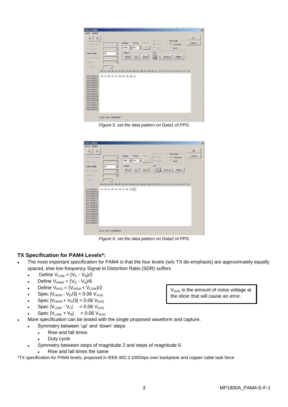| $\frac{3}{2}$<br>E<br>80<br>$\equiv$ | Table<br>$\overline{\phantom{a}}$<br><b>Hex</b><br>Range<br>Whole<br>Any | OFF<br>C Marker<br>Fill                 | $C$ Insert         |                                                                                                     |
|--------------------------------------|--------------------------------------------------------------------------|-----------------------------------------|--------------------|-----------------------------------------------------------------------------------------------------|
| $\frac{1}{x}$                        |                                                                          | $\boxed{0}$<br>Direct<br>$\overline{1}$ | Reverse<br>Pattern |                                                                                                     |
|                                      |                                                                          |                                         |                    |                                                                                                     |
|                                      | $\overline{\mathbf{x}}$                                                  | 00 00 FF FF 00 FF 00 FF FF 00           |                    | +00 +01 +02 +03 +04 +05 +06 +07 +08 +09 +0A +0B +0C +0D +0E +0F +10 +11 +12 +13 +14 +15 +16 +17 +18 |

*Figure 5. set the data pattern on Data1 of PPG*

|                                                                                                                                                                      |                               |                                               |                     |               |                          |                                                                                                     | $\vert x \vert$ |
|----------------------------------------------------------------------------------------------------------------------------------------------------------------------|-------------------------------|-----------------------------------------------|---------------------|---------------|--------------------------|-----------------------------------------------------------------------------------------------------|-----------------|
| File(E)<br>Edit(E)                                                                                                                                                   |                               |                                               |                     |               |                          |                                                                                                     |                 |
| @<br>⊛                                                                                                                                                               | $\mathbb{R}^2$                |                                               |                     |               |                          |                                                                                                     | OK              |
| Number of Block                                                                                                                                                      |                               | Display<br>$\frac{1}{2}$<br>Table             | Format              | Marker<br>OFF | $-Focus -$<br>C Curson   | Edit Mode<br>G Overwrite                                                                            | Cancel          |
| Row Lenoth                                                                                                                                                           |                               | $\frac{1}{\sqrt{2}}$                          | Hex<br>$\mathbf{r}$ | ۰             | $\Gamma$ Marker          | $C$ Insert                                                                                          |                 |
| Data Length                                                                                                                                                          | 80                            | $\div$                                        | Range               |               | Fill                     |                                                                                                     |                 |
| Number of Row                                                                                                                                                        |                               | 긒                                             | Whole<br>Any        | Direct        | $\mathbf 0$<br>$\vert$ 1 | Reverse<br>Pattern                                                                                  |                 |
| Edit Black                                                                                                                                                           |                               | $\frac{1}{\left\vert \mathbf{x}\right\vert }$ |                     |               |                          |                                                                                                     |                 |
| Atternate                                                                                                                                                            |                               |                                               |                     |               |                          |                                                                                                     |                 |
| 0x00000000<br>0x0000000A<br>0x00000014<br>0x0000001E<br>0x00000028<br>0x00000032<br>0x0000003C<br>0x00000046<br>0x00000050<br>0x0000005A<br>0x00000064<br>0x0000006E | 00 FF 00 FF 00 FF 00 FF 00 FF |                                               |                     |               |                          | +00 +01 +02 +03 +04 +05 +06 +07 +08 +09 +0A +0B +0C +0D +0E +0F +10 +11 +12 +13 +14 +15 +16 +17 +18 |                 |

*Figure 6. set the data pattern on Data2 of PPG*

# **TX Specification for PAM4 Levels\*:**

- The most important specification for PAM4 is that the four levels (w/o TX de-emphasis) are approximately equally spaced, else low frequency Signal to Distortion Ratio (SDR) suffers
	- Define  $V_{LOW} = (V_C V_B)/2$
	- Define  $V_{HIGH} = (V_D V_A)/6$
	- Define  $V_{AVG} = (V_{HIGH} + V_{LOW})/2$
	- Spec  $|V_{HIGH} V_D/3| < 0.06 V_{AVG}$
	- Spec  $|V_{HIGH} + V_A/3|$  < 0.06  $V_{AVG}$
	- Spec  $|V_{LOW} V_C|$  < 0.06  $V_{AVG}$
	- Spec  $|V_{LOW} + V_B|$  < 0.06  $V_{AVG}$

More specification can be tested with the single proposed waveform and capture.

- Symmetry between 'up' and 'down' steps
	- Rise and fall times
	- Duty cycle
	- Symmetry between steps of magnitude 2 and steps of magnitude 6
		- Rise and fall times the same

\*TX specification for PAM4 levels, proposed in IEEE 802.3 100Gbps over backplane and copper cable task force

 $V_{AVG}$  is the amount of noise voltage at the slicer that will cause an error.